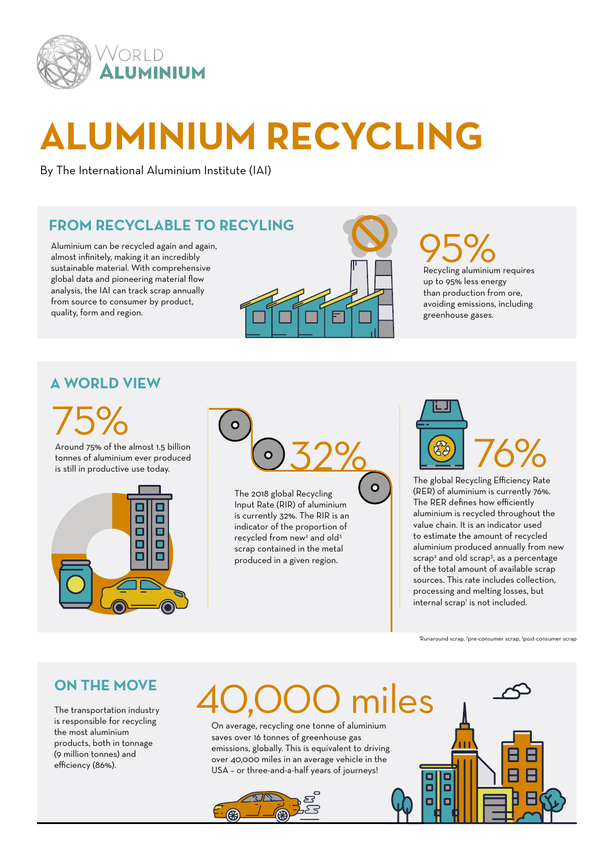

## **ALUMINIUM RECYCLING**

By The International Aluminium Institute (IAI)

### **FROM RECYCLABLE TO RECYLING**

Aluminium can be recycled again and again, almost infinitely, making it an incredibly sustainable material. With comprehensive global data and pioneering material flow analysis, the IAI can track scrap annually from source to consumer by product, quality, form and region.



### 95%<br>Recycling aluminium requires up to 95% less energy than production from ore, avoiding emissions, including greenhouse gases.

### **A WORLD VIEW**

75%

Around 75% of the almost 1.5 billion tonnes of aluminium ever produced is still in productive use today.





 $\bullet$ 

The 2018 global Recycling Input Rate (RIR) of aluminium is currently 32%. The RIR is an indicator of the proportion of recycled from new<sup>2</sup> and old<sup>3</sup> scrap contained in the metal produced in a given region.



The global Recycling Efficiency Rate (RER) of aluminium is currently 76%. The RER defines how efficiently aluminium is recycled throughout the value chain. It is an indicator used to estimate the amount of recycled aluminium produced annually from new scrap<sup>2</sup> and old scrap<sup>3</sup>, as a percentage of the total amount of available scrap sources. This rate includes collection, processing and melting losses, but internal scrap<sup>1</sup> is not included.

'Runaround scrap, <sup>2</sup>pre-consumer scrap, <sup>3</sup>post-consumer scrap

Œ

о

#### **ON THE MOVE**

The transportation industry is responsible for recycling the most aluminium products, both in tonnage (9 million tonnes) and efficiency (86%).

## iles

On average, recycling one tonne of aluminium saves over 16 tonnes of greenhouse gas emissions, globally. This is equivalent to driving over 40,000 miles in an average vehicle in the USA – or three-and-a-half years of journeys!